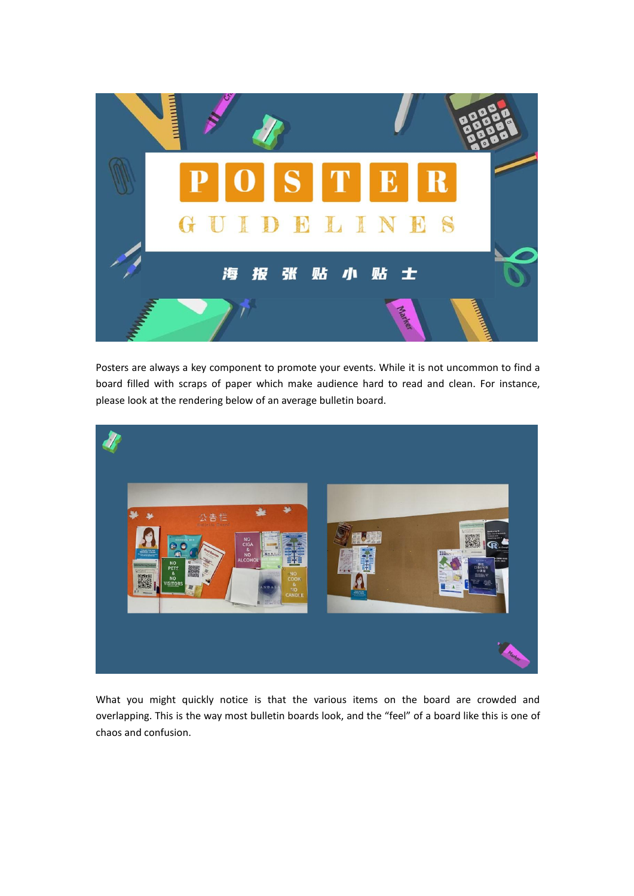

Posters are always a key component to promote your events. While it is not uncommon to find a board filled with scraps of paper which make audience hard to read and clean. For instance, please look at the rendering below of an average bulletin board.



What you might quickly notice is that the various items on the board are crowded and overlapping. This is the way most bulletin boards look, and the "feel" of a board like this is one of chaos and confusion.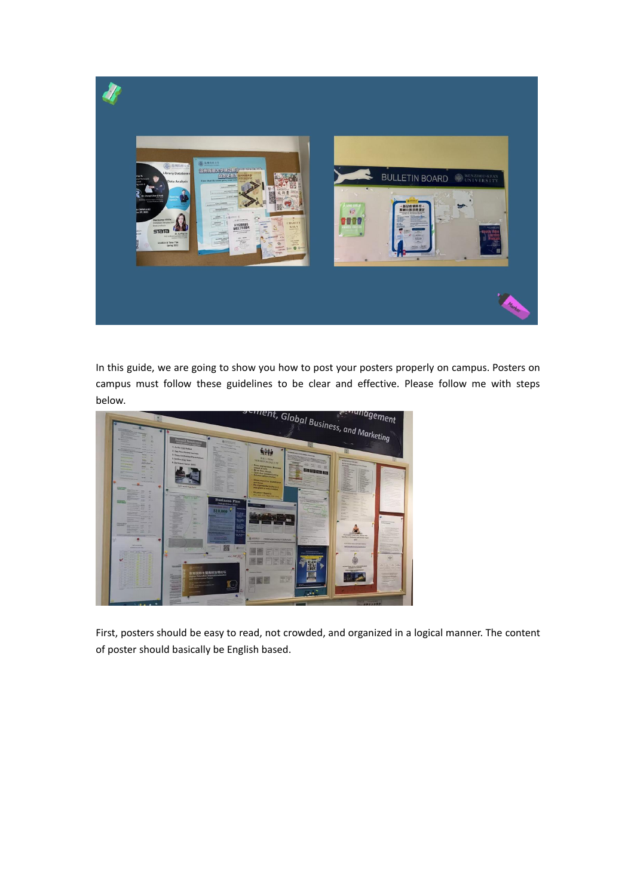

In this guide, we are going to show you how to post your posters properly on campus. Posters on campus must follow these guidelines to be clear and effective. Please follow me with steps below.



First, posters should be easy to read, not crowded, and organized in a logical manner. The content of poster should basically be English based.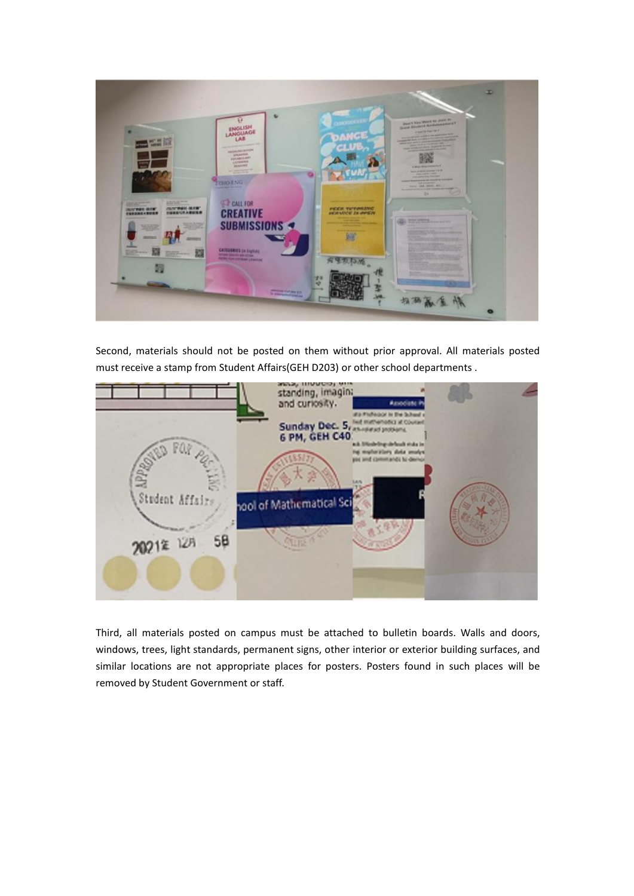

Second, materials should not be posted on them without prior approval. All materials posted must receive a stamp from Student Affairs(GEH D203) or other school departments .



Third, all materials posted on campus must be attached to bulletin boards. Walls and doors, windows, trees, light standards, permanent signs, other interior or exterior building surfaces, and similar locations are not appropriate places for posters. Posters found in such places will be removed by Student Government or staff.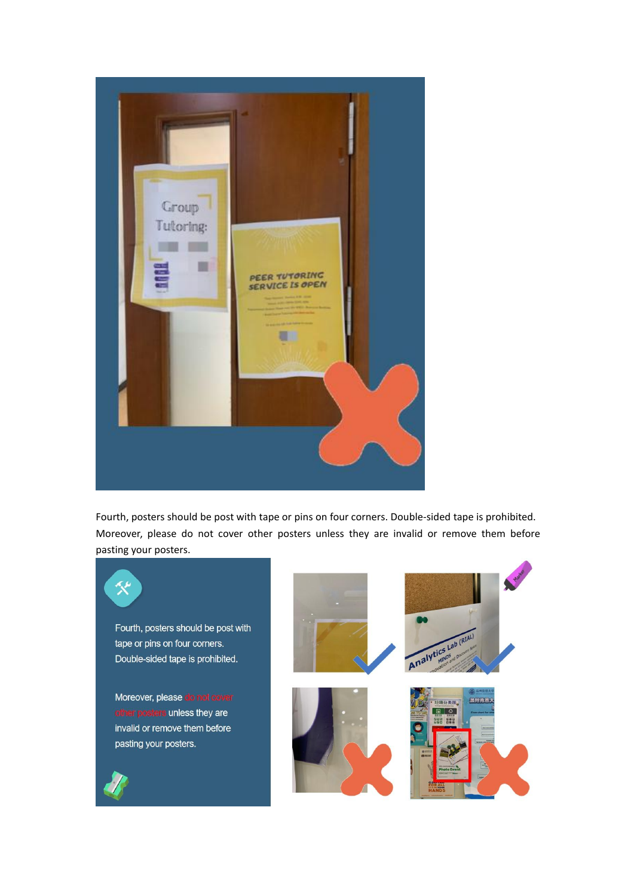

Fourth, posters should be post with tape or pins on four corners. Double-sided tape is prohibited. Moreover, please do not cover other posters unless they are invalid or remove them before pasting your posters.

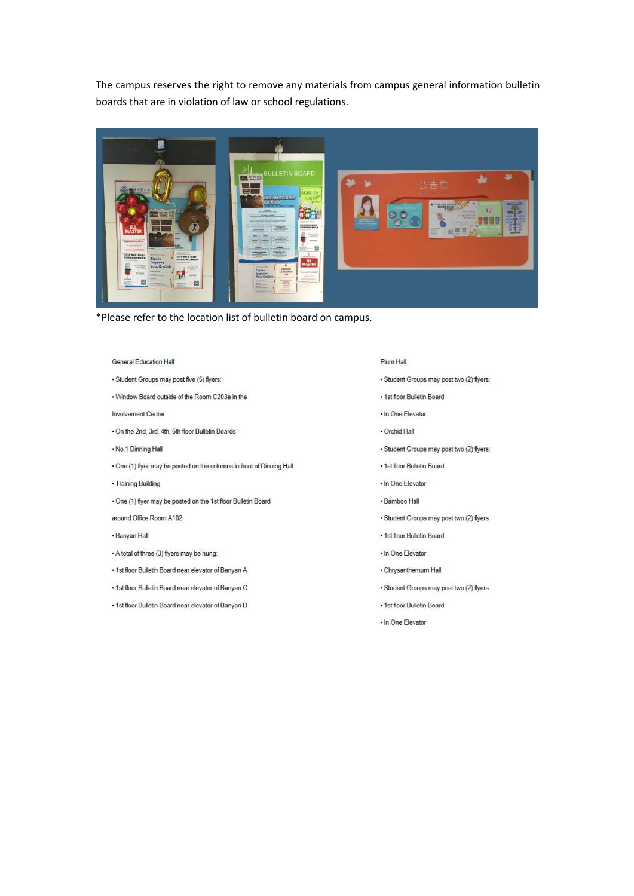The campus reserves the right to remove any materials from campus general information bulletin boards that are in violation of law or school regulations.



\*Please refer to the location list of bulletin board on campus.

#### General Education Hall

- · Student Groups may post five (5) flyers:
- . Window Board outside of the Room C203a in the
- Involvement Center
- . On the 2nd, 3rd, 4th, 5th floor Bulletin Boards
- . No.1 Dinning Hall
- . One (1) flyer may be posted on the columns in front of Dinning Hall
- · Training Building
- · One (1) flyer may be posted on the 1st floor Bulletin Board
- around Office Room A102
- · Banyan Hall
- . A total of three (3) flyers may be hung:
- . 1st floor Bulletin Board near elevator of Banyan A
- . 1st floor Bulletin Board near elevator of Banyan C
- . 1st floor Bulletin Board near elevator of Banyan D
- Plum Hall
- · Student Groups may post two (2) flyers:
- . 1st floor Bulletin Board
- . In One Elevator
- · Orchid Hall
- · Student Groups may post two (2) flyers:
- . 1st floor Bulletin Board
- . In One Elevator
- Bamboo Hall
- · Student Groups may post two (2) flyers:
- . 1st floor Bulletin Board
- . In One Elevator
- · Chrysanthemum Hall
- · Student Groups may post two (2) flyers:
- . 1st floor Bulletin Board
- . In One Elevator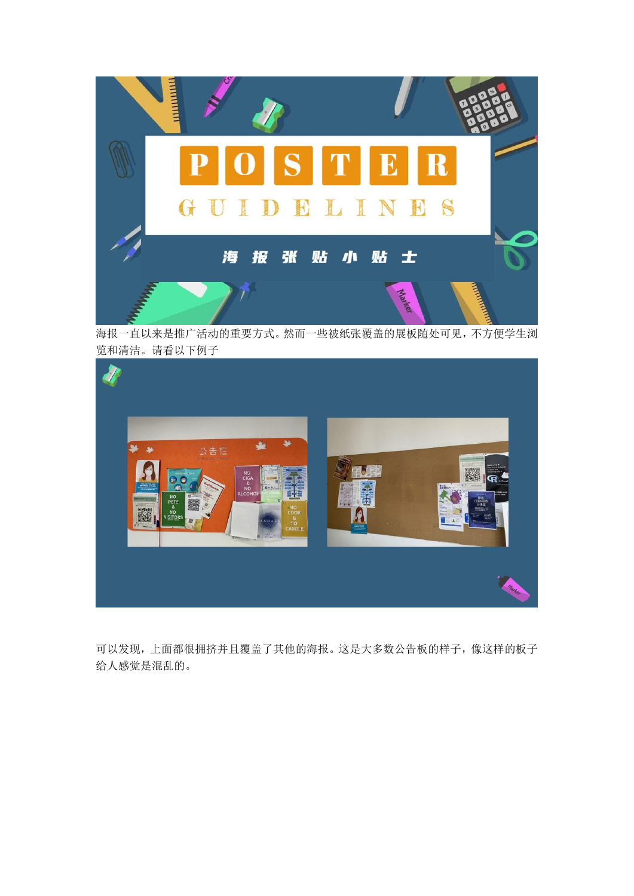

海报一直以来是推广活动的重要方式。然而一些被纸张覆盖的展板随处可见,不方便学生浏 览和清洁。请看以下例子



可以发现,上面都很拥挤并且覆盖了其他的海报。这是大多数公告板的样子,像这样的板子 给人感觉是混乱的。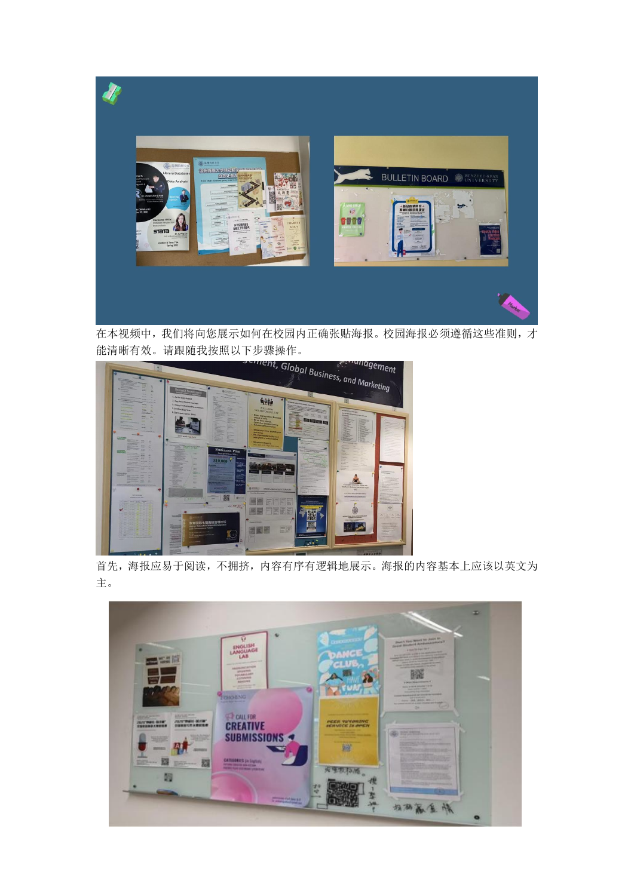

在本视频中,我们将向您展示如何在校园内正确张贴海报。校园海报必须遵循这些准则,才



首先,海报应易于阅读,不拥挤,内容有序有逻辑地展示。海报的内容基本上应该以英文为 主。

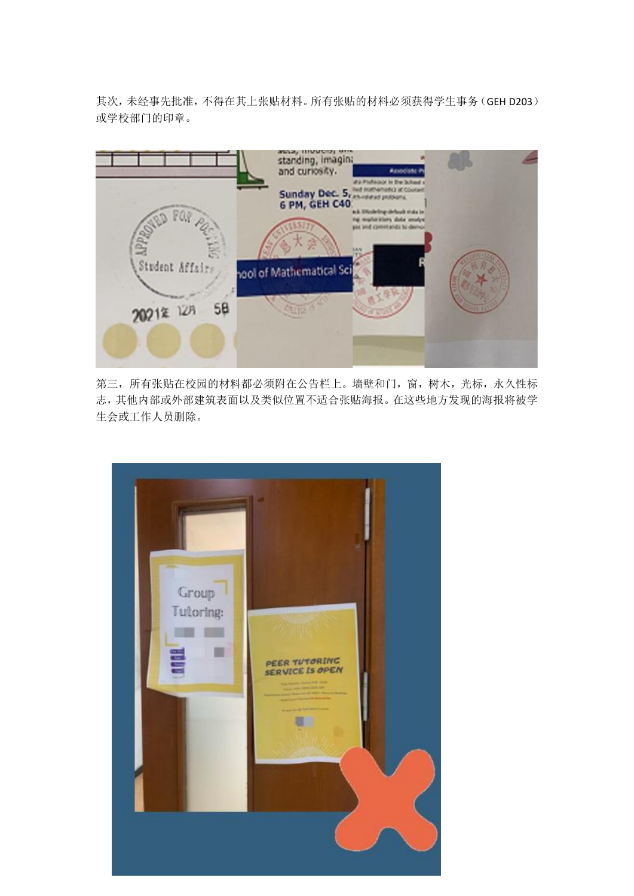其次,未经事先批准,不得在其上张贴材料。所有张贴的材料必须获得学生事务(GEH D203) 或学校部门的印章。



第三,所有张贴在校园的材料都必须附在公告栏上。墙壁和门,窗,树木,光标,永久性标 志,其他内部或外部建筑表面以及类似位置不适合张贴海报。在这些地方发现的海报将被学 生会或工作人员删除。

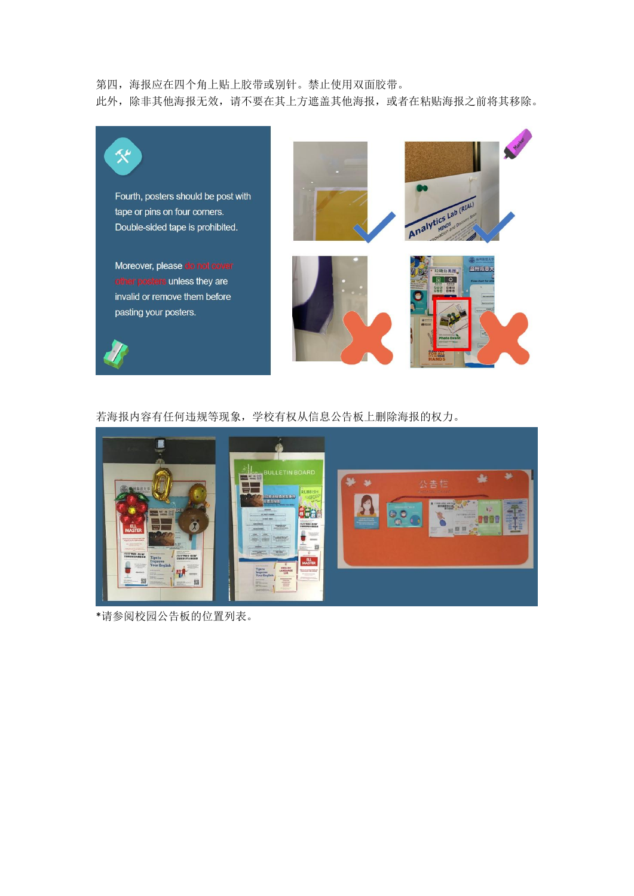## 第四,海报应在四个角上贴上胶带或别针。禁止使用双面胶带。

此外,除非其他海报无效,请不要在其上方遮盖其他海报,或者在粘贴海报之前将其移除。



# 若海报内容有任何违规等现象,学校有权从信息公告板上删除海报的权力。



\*请参阅校园公告板的位置列表。